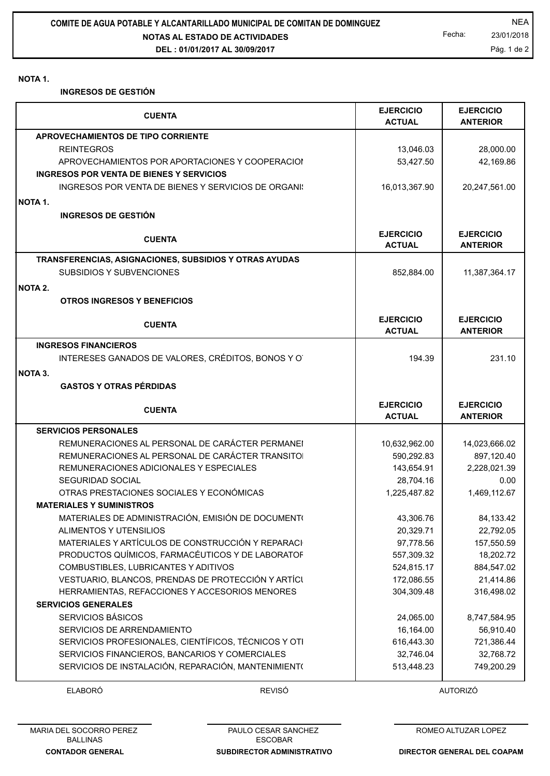## **NOTA 1.**

**INGRESOS DE GESTIÓN**

|                                                                                                        | <b>EJERCICIO</b>                  | <b>EJERCICIO</b>                    |
|--------------------------------------------------------------------------------------------------------|-----------------------------------|-------------------------------------|
| <b>CUENTA</b>                                                                                          | <b>ACTUAL</b>                     | <b>ANTERIOR</b>                     |
| APROVECHAMIENTOS DE TIPO CORRIENTE                                                                     |                                   |                                     |
| <b>REINTEGROS</b>                                                                                      | 13,046.03                         | 28,000.00                           |
| APROVECHAMIENTOS POR APORTACIONES Y COOPERACIOI                                                        | 53,427.50                         | 42,169.86                           |
| <b>INGRESOS POR VENTA DE BIENES Y SERVICIOS</b>                                                        |                                   |                                     |
| INGRESOS POR VENTA DE BIENES Y SERVICIOS DE ORGANI:                                                    | 16,013,367.90                     | 20,247,561.00                       |
| <b>NOTA 1.</b>                                                                                         |                                   |                                     |
| <b>INGRESOS DE GESTIÓN</b>                                                                             |                                   |                                     |
|                                                                                                        |                                   |                                     |
| <b>CUENTA</b>                                                                                          | <b>EJERCICIO</b><br><b>ACTUAL</b> | <b>EJERCICIO</b><br><b>ANTERIOR</b> |
| TRANSFERENCIAS, ASIGNACIONES, SUBSIDIOS Y OTRAS AYUDAS                                                 |                                   |                                     |
| SUBSIDIOS Y SUBVENCIONES                                                                               | 852,884.00                        | 11,387,364.17                       |
|                                                                                                        |                                   |                                     |
| <b>NOTA 2.</b>                                                                                         |                                   |                                     |
| <b>OTROS INGRESOS Y BENEFICIOS</b>                                                                     |                                   |                                     |
| <b>CUENTA</b>                                                                                          | <b>EJERCICIO</b>                  | <b>EJERCICIO</b>                    |
|                                                                                                        | <b>ACTUAL</b>                     | <b>ANTERIOR</b>                     |
| <b>INGRESOS FINANCIEROS</b>                                                                            |                                   |                                     |
| INTERESES GANADOS DE VALORES, CRÉDITOS, BONOS Y O                                                      | 194.39                            | 231.10                              |
|                                                                                                        |                                   |                                     |
|                                                                                                        |                                   |                                     |
| <b>GASTOS Y OTRAS PÉRDIDAS</b>                                                                         |                                   |                                     |
|                                                                                                        |                                   |                                     |
| <b>CUENTA</b>                                                                                          | <b>EJERCICIO</b>                  | <b>EJERCICIO</b>                    |
|                                                                                                        | <b>ACTUAL</b>                     | <b>ANTERIOR</b>                     |
| <b>SERVICIOS PERSONALES</b>                                                                            |                                   |                                     |
| REMUNERACIONES AL PERSONAL DE CARÁCTER PERMANEI                                                        | 10,632,962.00                     | 14,023,666.02                       |
| REMUNERACIONES AL PERSONAL DE CARÁCTER TRANSITO                                                        | 590,292.83                        | 897,120.40                          |
| REMUNERACIONES ADICIONALES Y ESPECIALES                                                                | 143,654.91                        | 2,228,021.39                        |
| SEGURIDAD SOCIAL                                                                                       | 28,704.16                         | 0.00                                |
| OTRAS PRESTACIONES SOCIALES Y ECONÓMICAS                                                               | 1,225,487.82                      | 1,469,112.67                        |
| <b>MATERIALES Y SUMINISTROS</b>                                                                        |                                   |                                     |
| <b>NOTA 3.</b><br>MATERIALES DE ADMINISTRACIÓN, EMISIÓN DE DOCUMENT(                                   | 43,306.76                         | 84,133.42                           |
| ALIMENTOS Y UTENSILIOS                                                                                 | 20,329.71                         | 22,792.05                           |
| MATERIALES Y ARTÍCULOS DE CONSTRUCCIÓN Y REPARACI                                                      | 97,778.56                         | 157,550.59                          |
| PRODUCTOS QUÍMICOS, FARMACÉUTICOS Y DE LABORATOF                                                       | 557,309.32                        | 18,202.72                           |
| COMBUSTIBLES, LUBRICANTES Y ADITIVOS                                                                   | 524,815.17                        | 884,547.02                          |
| VESTUARIO, BLANCOS, PRENDAS DE PROTECCIÓN Y ARTÍCI                                                     | 172,086.55                        | 21,414.86                           |
| HERRAMIENTAS, REFACCIONES Y ACCESORIOS MENORES<br><b>SERVICIOS GENERALES</b>                           | 304,309.48                        | 316,498.02                          |
|                                                                                                        |                                   |                                     |
| SERVICIOS BÁSICOS<br>SERVICIOS DE ARRENDAMIENTO                                                        | 24,065.00                         | 8,747,584.95                        |
|                                                                                                        | 16,164.00                         | 56,910.40                           |
| SERVICIOS PROFESIONALES, CIENTÍFICOS, TÉCNICOS Y OTI<br>SERVICIOS FINANCIEROS, BANCARIOS Y COMERCIALES | 616,443.30<br>32,746.04           | 721,386.44<br>32,768.72             |

ELABORÓ REVISÓ AUTORIZÓ

PAULO CESAR SANCHEZ ESCOBAR

**SUBDIRECTOR ADMINISTRATIVO**